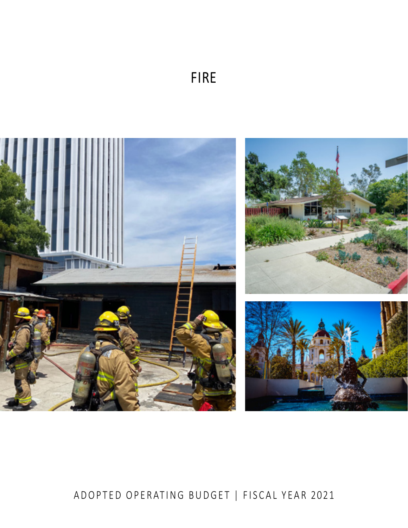# FIRE



# ADOPTED OPERATING BUDGET | FISCAL YEAR 2021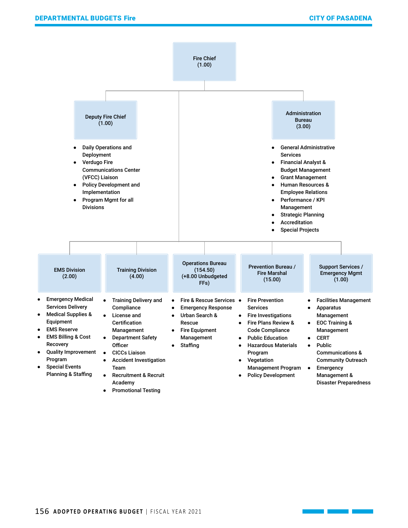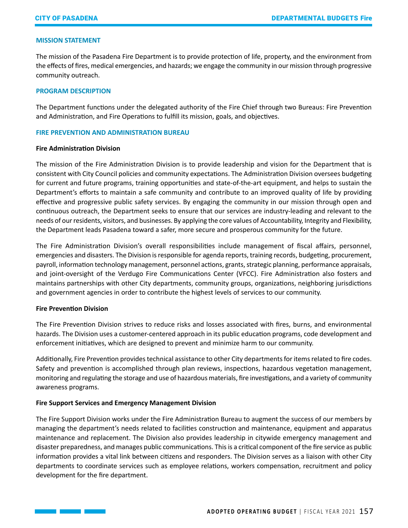### **MISSION STATEMENT**

The mission of the Pasadena Fire Department is to provide protection of life, property, and the environment from the effects of fires, medical emergencies, and hazards; we engage the community in our mission through progressive community outreach.

#### **PROGRAM DESCRIPTION**

The Department functions under the delegated authority of the Fire Chief through two Bureaus: Fire Prevention and Administration, and Fire Operations to fulfill its mission, goals, and objectives.

#### **FIRE PREVENTION AND ADMINISTRATION BUREAU**

#### **Fire Administration Division**

The mission of the Fire Administration Division is to provide leadership and vision for the Department that is consistent with City Council policies and community expectations. The Administration Division oversees budgeting for current and future programs, training opportunities and state-of-the-art equipment, and helps to sustain the Department's efforts to maintain a safe community and contribute to an improved quality of life by providing effective and progressive public safety services. By engaging the community in our mission through open and continuous outreach, the Department seeks to ensure that our services are industry-leading and relevant to the needs of our residents, visitors, and businesses. By applying the core values of Accountability, Integrity and Flexibility, the Department leads Pasadena toward a safer, more secure and prosperous community for the future.

The Fire Administration Division's overall responsibilities include management of fiscal affairs, personnel, emergencies and disasters. The Division is responsible for agenda reports, training records, budgeting, procurement, payroll, information technology management, personnel actions, grants, strategic planning, performance appraisals, and joint-oversight of the Verdugo Fire Communications Center (VFCC). Fire Administration also fosters and maintains partnerships with other City departments, community groups, organizations, neighboring jurisdictions and government agencies in order to contribute the highest levels of services to our community.

### **Fire Prevention Division**

The Fire Prevention Division strives to reduce risks and losses associated with fires, burns, and environmental hazards. The Division uses a customer-centered approach in its public education programs, code development and enforcement initiatives, which are designed to prevent and minimize harm to our community.

Additionally, Fire Prevention provides technical assistance to other City departments for items related to fire codes. Safety and prevention is accomplished through plan reviews, inspections, hazardous vegetation management, monitoring and regulating the storage and use of hazardous materials, fire investigations, and a variety of community awareness programs.

# **Fire Support Services and Emergency Management Division**

The Fire Support Division works under the Fire Administration Bureau to augment the success of our members by managing the department's needs related to facilities construction and maintenance, equipment and apparatus maintenance and replacement. The Division also provides leadership in citywide emergency management and disaster preparedness, and manages public communications. This is a critical component of the fire service as public information provides a vital link between citizens and responders. The Division serves as a liaison with other City departments to coordinate services such as employee relations, workers compensation, recruitment and policy development for the fire department.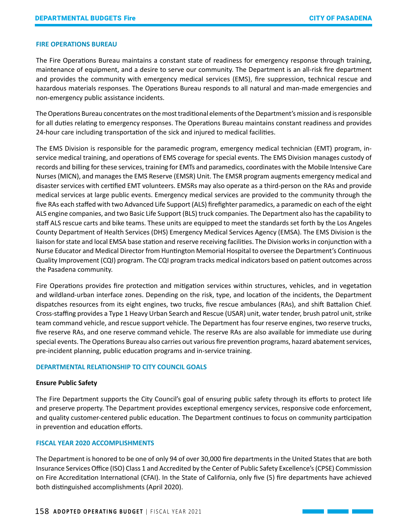#### **FIRE OPERATIONS BUREAU**

The Fire Operations Bureau maintains a constant state of readiness for emergency response through training, maintenance of equipment, and a desire to serve our community. The Department is an all-risk fire department and provides the community with emergency medical services (EMS), fire suppression, technical rescue and hazardous materials responses. The Operations Bureau responds to all natural and man-made emergencies and non-emergency public assistance incidents.

The Operations Bureau concentrates on the most traditional elements of the Department's mission and is responsible for all duties relating to emergency responses. The Operations Bureau maintains constant readiness and provides 24-hour care including transportation of the sick and injured to medical facilities.

The EMS Division is responsible for the paramedic program, emergency medical technician (EMT) program, inservice medical training, and operations of EMS coverage for special events. The EMS Division manages custody of records and billing for these services, training for EMTs and paramedics, coordinates with the Mobile Intensive Care Nurses (MICN), and manages the EMS Reserve (EMSR) Unit. The EMSR program augments emergency medical and disaster services with certified EMT volunteers. EMSRs may also operate as a third-person on the RAs and provide medical services at large public events. Emergency medical services are provided to the community through the five RAs each staffed with two Advanced Life Support (ALS) firefighter paramedics, a paramedic on each of the eight ALS engine companies, and two Basic Life Support (BLS) truck companies. The Department also has the capability to staff ALS rescue carts and bike teams. These units are equipped to meet the standards set forth by the Los Angeles County Department of Health Services (DHS) Emergency Medical Services Agency (EMSA). The EMS Division is the liaison for state and local EMSA base station and reserve receiving facilities. The Division works in conjunction with a Nurse Educator and Medical Director from Huntington Memorial Hospital to oversee the Department's Continuous Quality Improvement (CQI) program. The CQI program tracks medical indicators based on patient outcomes across the Pasadena community.

Fire Operations provides fire protection and mitigation services within structures, vehicles, and in vegetation and wildland-urban interface zones. Depending on the risk, type, and location of the incidents, the Department dispatches resources from its eight engines, two trucks, five rescue ambulances (RAs), and shift Battalion Chief. Cross-staffing provides a Type 1 Heavy Urban Search and Rescue (USAR) unit, water tender, brush patrol unit, strike team command vehicle, and rescue support vehicle. The Department has four reserve engines, two reserve trucks, five reserve RAs, and one reserve command vehicle. The reserve RAs are also available for immediate use during special events. The Operations Bureau also carries out various fire prevention programs, hazard abatement services, pre-incident planning, public education programs and in-service training.

#### **DEPARTMENTAL RELATIONSHIP TO CITY COUNCIL GOALS**

#### **Ensure Public Safety**

The Fire Department supports the City Council's goal of ensuring public safety through its efforts to protect life and preserve property. The Department provides exceptional emergency services, responsive code enforcement, and quality customer-centered public education. The Department continues to focus on community participation in prevention and education efforts.

#### **FISCAL YEAR 2020 ACCOMPLISHMENTS**

The Department is honored to be one of only 94 of over 30,000 fire departments in the United States that are both Insurance Services Office (ISO) Class 1 and Accredited by the Center of Public Safety Excellence's (CPSE) Commission on Fire Accreditation International (CFAI). In the State of California, only five (5) fire departments have achieved both distinguished accomplishments (April 2020).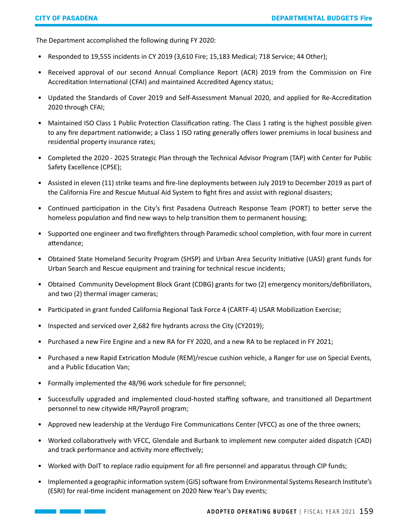The Department accomplished the following during FY 2020:

- Responded to 19,555 incidents in CY 2019 (3,610 Fire; 15,183 Medical; 718 Service; 44 Other);
- Received approval of our second Annual Compliance Report (ACR) 2019 from the Commission on Fire Accreditation International (CFAI) and maintained Accredited Agency status;
- Updated the Standards of Cover 2019 and Self-Assessment Manual 2020, and applied for Re-Accreditation 2020 through CFAI;
- Maintained ISO Class 1 Public Protection Classification rating. The Class 1 rating is the highest possible given to any fire department nationwide; a Class 1 ISO rating generally offers lower premiums in local business and residential property insurance rates;
- Completed the 2020 2025 Strategic Plan through the Technical Advisor Program (TAP) with Center for Public Safety Excellence (CPSE);
- Assisted in eleven (11) strike teams and fire-line deployments between July 2019 to December 2019 as part of the California Fire and Rescue Mutual Aid System to fight fires and assist with regional disasters;
- Continued participation in the City's first Pasadena Outreach Response Team (PORT) to better serve the homeless population and find new ways to help transition them to permanent housing;
- Supported one engineer and two firefighters through Paramedic school completion, with four more in current attendance;
- Obtained State Homeland Security Program (SHSP) and Urban Area Security Initiative (UASI) grant funds for Urban Search and Rescue equipment and training for technical rescue incidents;
- Obtained Community Development Block Grant (CDBG) grants for two (2) emergency monitors/defibrillators, and two (2) thermal imager cameras;
- Participated in grant funded California Regional Task Force 4 (CARTF-4) USAR Mobilization Exercise;
- Inspected and serviced over 2,682 fire hydrants across the City (CY2019);
- Purchased a new Fire Engine and a new RA for FY 2020, and a new RA to be replaced in FY 2021;
- Purchased a new Rapid Extrication Module (REM)/rescue cushion vehicle, a Ranger for use on Special Events, and a Public Education Van;
- Formally implemented the 48/96 work schedule for fire personnel;
- Successfully upgraded and implemented cloud-hosted staffing software, and transitioned all Department personnel to new citywide HR/Payroll program;
- Approved new leadership at the Verdugo Fire Communications Center (VFCC) as one of the three owners;
- Worked collaboratively with VFCC, Glendale and Burbank to implement new computer aided dispatch (CAD) and track performance and activity more effectively;
- Worked with DoIT to replace radio equipment for all fire personnel and apparatus through CIP funds;
- Implemented a geographic information system (GIS) software from Environmental Systems Research Institute's (ESRI) for real-time incident management on 2020 New Year's Day events;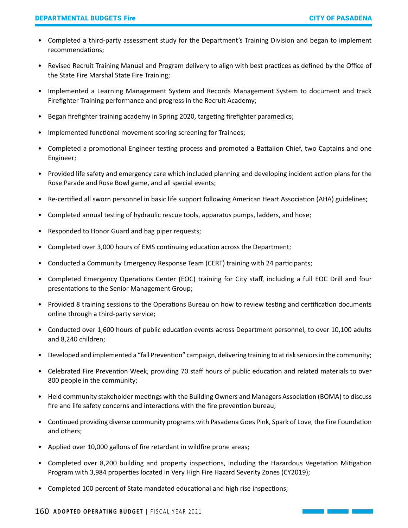- Completed a third-party assessment study for the Department's Training Division and began to implement recommendations;
- Revised Recruit Training Manual and Program delivery to align with best practices as defined by the Office of the State Fire Marshal State Fire Training;
- Implemented a Learning Management System and Records Management System to document and track Firefighter Training performance and progress in the Recruit Academy;
- Began firefighter training academy in Spring 2020, targeting firefighter paramedics;
- Implemented functional movement scoring screening for Trainees;
- Completed a promotional Engineer testing process and promoted a Battalion Chief, two Captains and one Engineer;
- Provided life safety and emergency care which included planning and developing incident action plans for the Rose Parade and Rose Bowl game, and all special events;
- Re-certified all sworn personnel in basic life support following American Heart Association (AHA) guidelines;
- Completed annual testing of hydraulic rescue tools, apparatus pumps, ladders, and hose;
- Responded to Honor Guard and bag piper requests;
- Completed over 3,000 hours of EMS continuing education across the Department;
- Conducted a Community Emergency Response Team (CERT) training with 24 participants;
- Completed Emergency Operations Center (EOC) training for City staff, including a full EOC Drill and four presentations to the Senior Management Group;
- Provided 8 training sessions to the Operations Bureau on how to review testing and certification documents online through a third-party service;
- Conducted over 1,600 hours of public education events across Department personnel, to over 10,100 adults and 8,240 children;
- Developed and implemented a "fall Prevention" campaign, delivering training to at risk seniors in the community;
- Celebrated Fire Prevention Week, providing 70 staff hours of public education and related materials to over 800 people in the community;
- Held community stakeholder meetings with the Building Owners and Managers Association (BOMA) to discuss fire and life safety concerns and interactions with the fire prevention bureau;
- Continued providing diverse community programs with Pasadena Goes Pink, Spark of Love, the Fire Foundation and others;
- Applied over 10,000 gallons of fire retardant in wildfire prone areas;
- Completed over 8,200 building and property inspections, including the Hazardous Vegetation Mitigation Program with 3,984 properties located in Very High Fire Hazard Severity Zones (CY2019);
- Completed 100 percent of State mandated educational and high rise inspections;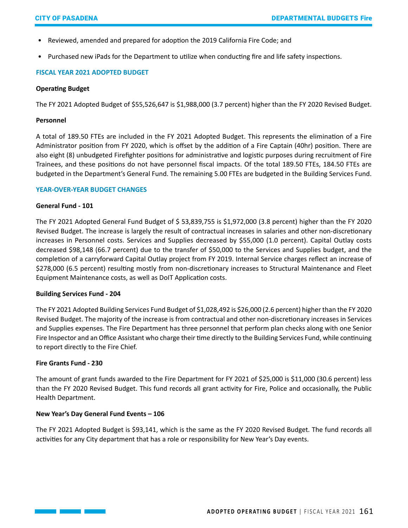- Reviewed, amended and prepared for adoption the 2019 California Fire Code; and
- Purchased new iPads for the Department to utilize when conducting fire and life safety inspections.

# **FISCAL YEAR 2021 ADOPTED BUDGET**

#### **Operating Budget**

The FY 2021 Adopted Budget of \$55,526,647 is \$1,988,000 (3.7 percent) higher than the FY 2020 Revised Budget.

#### **Personnel**

A total of 189.50 FTEs are included in the FY 2021 Adopted Budget. This represents the elimination of a Fire Administrator position from FY 2020, which is offset by the addition of a Fire Captain (40hr) position. There are also eight (8) unbudgeted Firefighter positions for administrative and logistic purposes during recruitment of Fire Trainees, and these positions do not have personnel fiscal impacts. Of the total 189.50 FTEs, 184.50 FTEs are budgeted in the Department's General Fund. The remaining 5.00 FTEs are budgeted in the Building Services Fund.

#### **YEAR-OVER-YEAR BUDGET CHANGES**

#### **General Fund - 101**

The FY 2021 Adopted General Fund Budget of \$ 53,839,755 is \$1,972,000 (3.8 percent) higher than the FY 2020 Revised Budget. The increase is largely the result of contractual increases in salaries and other non-discretionary increases in Personnel costs. Services and Supplies decreased by \$55,000 (1.0 percent). Capital Outlay costs decreased \$98,148 (66.7 percent) due to the transfer of \$50,000 to the Services and Supplies budget, and the completion of a carryforward Capital Outlay project from FY 2019. Internal Service charges reflect an increase of \$278,000 (6.5 percent) resulting mostly from non-discretionary increases to Structural Maintenance and Fleet Equipment Maintenance costs, as well as DoIT Application costs.

### **Building Services Fund - 204**

The FY 2021 Adopted Building Services Fund Budget of \$1,028,492 is \$26,000 (2.6 percent) higher than the FY 2020 Revised Budget. The majority of the increase is from contractual and other non-discretionary increases in Services and Supplies expenses. The Fire Department has three personnel that perform plan checks along with one Senior Fire Inspector and an Office Assistant who charge their time directly to the Building Services Fund, while continuing to report directly to the Fire Chief.

### **Fire Grants Fund - 230**

The amount of grant funds awarded to the Fire Department for FY 2021 of \$25,000 is \$11,000 (30.6 percent) less than the FY 2020 Revised Budget. This fund records all grant activity for Fire, Police and occasionally, the Public Health Department.

### **New Year's Day General Fund Events – 106**

The FY 2021 Adopted Budget is \$93,141, which is the same as the FY 2020 Revised Budget. The fund records all activities for any City department that has a role or responsibility for New Year's Day events.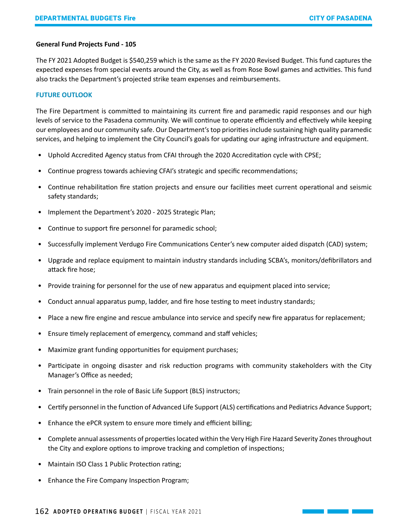#### **General Fund Projects Fund - 105**

The FY 2021 Adopted Budget is \$540,259 which is the same as the FY 2020 Revised Budget. This fund captures the expected expenses from special events around the City, as well as from Rose Bowl games and activities. This fund also tracks the Department's projected strike team expenses and reimbursements.

#### **FUTURE OUTLOOK**

The Fire Department is committed to maintaining its current fire and paramedic rapid responses and our high levels of service to the Pasadena community. We will continue to operate efficiently and effectively while keeping our employees and our community safe. Our Department's top priorities include sustaining high quality paramedic services, and helping to implement the City Council's goals for updating our aging infrastructure and equipment.

- Uphold Accredited Agency status from CFAI through the 2020 Accreditation cycle with CPSE;
- Continue progress towards achieving CFAI's strategic and specific recommendations;
- Continue rehabilitation fire station projects and ensure our facilities meet current operational and seismic safety standards;
- Implement the Department's 2020 2025 Strategic Plan;
- Continue to support fire personnel for paramedic school;
- Successfully implement Verdugo Fire Communications Center's new computer aided dispatch (CAD) system;
- Upgrade and replace equipment to maintain industry standards including SCBA's, monitors/defibrillators and attack fire hose;
- Provide training for personnel for the use of new apparatus and equipment placed into service;
- Conduct annual apparatus pump, ladder, and fire hose testing to meet industry standards;
- Place a new fire engine and rescue ambulance into service and specify new fire apparatus for replacement;
- Ensure timely replacement of emergency, command and staff vehicles;
- Maximize grant funding opportunities for equipment purchases;
- Participate in ongoing disaster and risk reduction programs with community stakeholders with the City Manager's Office as needed;
- Train personnel in the role of Basic Life Support (BLS) instructors;
- Certify personnel in the function of Advanced Life Support (ALS) certifications and Pediatrics Advance Support;
- Enhance the ePCR system to ensure more timely and efficient billing;
- Complete annual assessments of properties located within the Very High Fire Hazard Severity Zones throughout the City and explore options to improve tracking and completion of inspections;
- Maintain ISO Class 1 Public Protection rating;
- Enhance the Fire Company Inspection Program;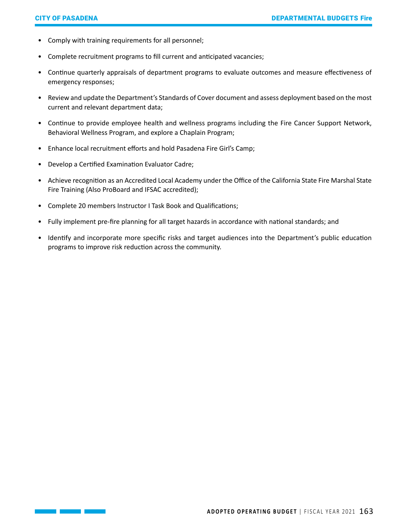- Comply with training requirements for all personnel;
- Complete recruitment programs to fill current and anticipated vacancies;
- Continue quarterly appraisals of department programs to evaluate outcomes and measure effectiveness of emergency responses;
- Review and update the Department's Standards of Cover document and assess deployment based on the most current and relevant department data;
- Continue to provide employee health and wellness programs including the Fire Cancer Support Network, Behavioral Wellness Program, and explore a Chaplain Program;
- Enhance local recruitment efforts and hold Pasadena Fire Girl's Camp;
- Develop a Certified Examination Evaluator Cadre;
- Achieve recognition as an Accredited Local Academy under the Office of the California State Fire Marshal State Fire Training (Also ProBoard and IFSAC accredited);
- Complete 20 members Instructor I Task Book and Qualifications;
- Fully implement pre-fire planning for all target hazards in accordance with national standards; and
- Identify and incorporate more specific risks and target audiences into the Department's public education programs to improve risk reduction across the community.